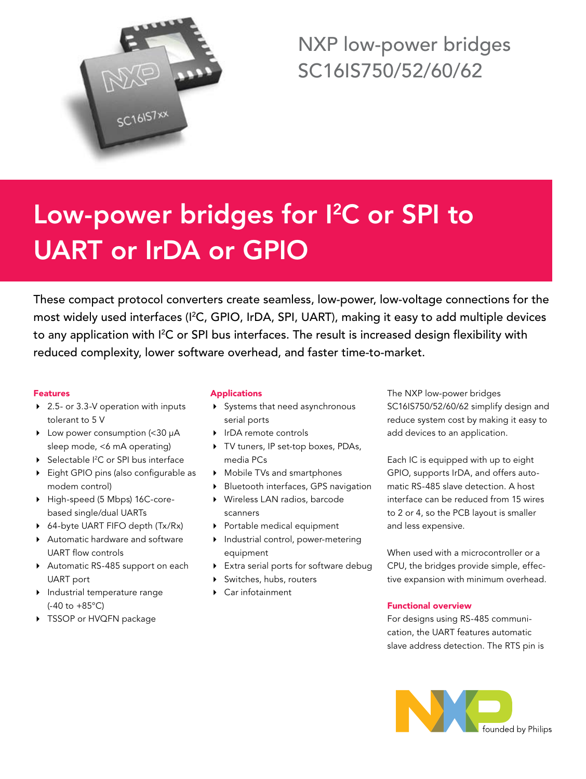

NXP low-power bridges SC16IS750/52/60/62

# Low-power bridges for I<sup>2</sup>C or SPI to UART or IrDA or GPIO

These compact protocol converters create seamless, low-power, low-voltage connections for the most widely used interfaces (I2 C, GPIO, IrDA, SPI, UART), making it easy to add multiple devices to any application with I<sup>2</sup>C or SPI bus interfaces. The result is increased design flexibility with reduced complexity, lower software overhead, and faster time-to-market.

## Features

- ▶ 2.5- or 3.3-V operation with inputs tolerant to 5 V
- 4 Low power consumption (<30 µA sleep mode, <6 mA operating)
- ▶ Selectable I<sup>2</sup>C or SPI bus interface
- 4 Eight GPIO pins (also configurable as modem control)
- 4 High-speed (5 Mbps) 16C-corebased single/dual UARTs
- ▶ 64-byte UART FIFO depth (Tx/Rx)
- ▶ Automatic hardware and software UART flow controls
- ▶ Automatic RS-485 support on each UART port
- 4 Industrial temperature range (-40 to +85°C)
- ▶ TSSOP or HVQFN package

# Applications

- 4 Systems that need asynchronous serial ports
- ▶ IrDA remote controls
- ▶ TV tuners, IP set-top boxes, PDAs, media PCs
- 4 Mobile TVs and smartphones
- Bluetooth interfaces, GPS navigation
- 4 Wireless LAN radios, barcode scanners
- 4 Portable medical equipment
- 4 Industrial control, power-metering equipment
- 4 Extra serial ports for software debug
- 4 Switches, hubs, routers
- 4 Car infotainment

The NXP low-power bridges SC16IS750/52/60/62 simplify design and reduce system cost by making it easy to add devices to an application.

Each IC is equipped with up to eight GPIO, supports IrDA, and offers automatic RS-485 slave detection. A host interface can be reduced from 15 wires to 2 or 4, so the PCB layout is smaller and less expensive.

When used with a microcontroller or a CPU, the bridges provide simple, effective expansion with minimum overhead.

# Functional overview

For designs using RS-485 communication, the UART features automatic slave address detection. The RTS pin is